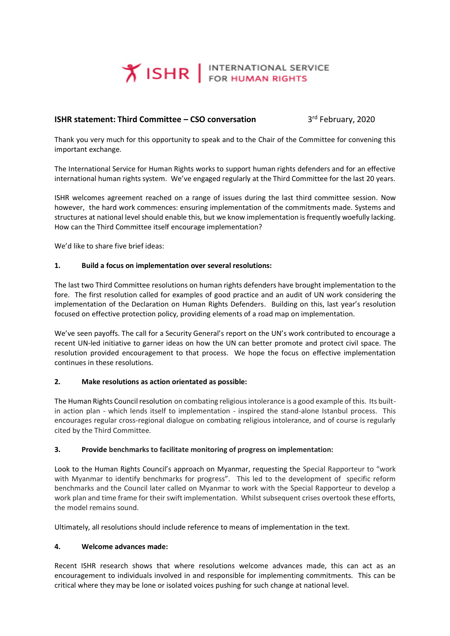

# **ISHR statement: Third Committee – CSO conversation** 3

3rd February, 2020

Thank you very much for this opportunity to speak and to the Chair of the Committee for convening this important exchange.

The International Service for Human Rights works to support human rights defenders and for an effective international human rights system. We've engaged regularly at the Third Committee for the last 20 years.

ISHR welcomes agreement reached on a range of issues during the last third committee session. Now however, the hard work commences: ensuring implementation of the commitments made. Systems and structures at national level should enable this, but we know implementation is frequently woefully lacking. How can the Third Committee itself encourage implementation?

We'd like to share five brief ideas:

#### **1. Build a focus on implementation over several resolutions:**

The last two Third Committee resolutions on human rights defenders have brought implementation to the fore. The first resolution called for examples of good practice and an audit of UN work considering the implementation of the Declaration on Human Rights Defenders. Building on this, last year's resolution focused on effective protection policy, providing elements of a road map on implementation.

We've seen payoffs. The call for a Security General's report on the UN's work contributed to encourage a recent UN-led initiative to garner ideas on how the UN can better promote and protect civil space. The resolution provided encouragement to that process. We hope the focus on effective implementation continues in these resolutions.

## **2. Make resolutions as action orientated as possible:**

The Human Rights Council resolution on combating religious intolerance is a good example of this. Its builtin action plan - which lends itself to implementation - inspired the stand-alone Istanbul process. This encourages regular cross-regional dialogue on combating religious intolerance, and of course is regularly cited by the Third Committee.

## **3. Provide benchmarks to facilitate monitoring of progress on implementation:**

Look to the Human Rights Council's approach on Myanmar, requesting the Special Rapporteur to "work with Myanmar to identify benchmarks for progress". This led to the development of specific reform benchmarks and the Council later called on Myanmar to work with the Special Rapporteur to develop a work plan and time frame for their swift implementation. Whilst subsequent crises overtook these efforts, the model remains sound.

Ultimately, all resolutions should include reference to means of implementation in the text.

#### **4. Welcome advances made:**

Recent ISHR research shows that where resolutions welcome advances made, this can act as an encouragement to individuals involved in and responsible for implementing commitments. This can be critical where they may be lone or isolated voices pushing for such change at national level.